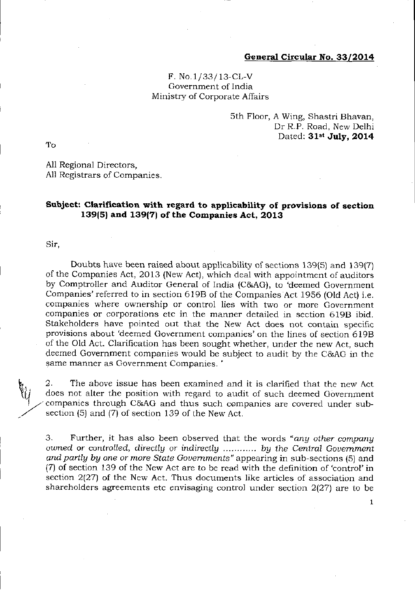## General Circular No. 33/2014

## F. No.1/33/ 13-CL-V Government of India Ministrv of Corporate Alfairs

## 5th Floor, A Wing, Shastri Bhavan, Dr R.P. Road, New Delhi Dated: 31st July, 2014

To

All Regional Directors, All Registrars of Companies.

## Subject: Clarification with regard to applicability of provisions of section 139 $(5)$  and 139 $(7)$  of the Companies Act, 2013

Sir,

**Cy** 

Doubts have been raised about applicability of sections 139(5) and 139(7) of the Companies Act, 2013 (New Act), which deal with appointment of auditors by Comptroller and Auditor General of India (C&AG), to 'deemed Government Companies' referred to in section 619B of the Companies Act 1956 (Old Act) i.e. companies where ownership or control lies with two or more Government companies or corporations etc in the manner detailed in section 6198 ibid, Stakeholders have pointed out that the New Act does not contain specific provisions about 'deemed Government companies' on the lines of section 619B of the Old Act. Clarification has been sought whether, under the new Act, such deemed Government companies would be subject to audit by the C&AG in the same manner as Government Companies.'

2. The above issue has been examined and it is clarified that the new Act does not alter the position with regard to audit of such deemed Government companies through C&AG and thus such companies are covered under subsection (5) and (7) of section 139 of the New Act.

3. Further, it has also been observed that the words "any other company" owned or controlled, directly or indirectly ............ by the Central Government and partly by one or more State Governments" appearing in sub-sections (5) and {7) of section 139 of the New Act are to be read with the definition of tontrol'in section  $2(27)$  of the New Act. Thus documents like articles of association and shareholders agreements etc envisaging control under section  $2(27)$  are to be

1